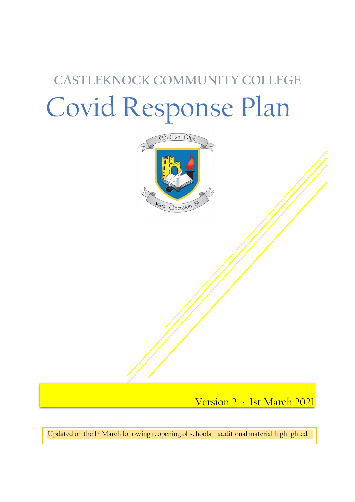# **CASTLEKNOCK COMMUNITY COLLEGE** Covid Response Plan



I Version 2 - 1st March 2021

Updated on the 1st March following reopening of schools – additional material highlighted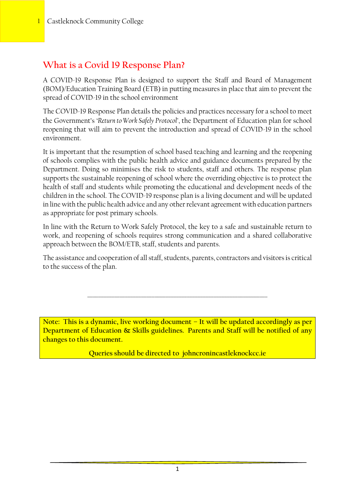# **What is a Covid 19 Response Plan?**

A COVID-19 Response Plan is designed to support the Staff and Board of Management (BOM)/Education Training Board (ETB) in putting measures in place that aim to prevent the spread of COVID-19 in the school environment

The COVID-19 Response Plan details the policies and practices necessary for a school to meet the Government's '*Return to Work Safely Protocol'*, the Department of Education plan for school reopening that will aim to prevent the introduction and spread of COVID-19 in the school environment.

It is important that the resumption of school based teaching and learning and the reopening of schools complies with the public health advice and guidance documents prepared by the Department. Doing so minimises the risk to students, staff and others. The response plan supports the sustainable reopening of school where the overriding objective is to protect the health of staff and students while promoting the educational and development needs of the children in the school. The COVID-19 response plan is a living document and will be updated in line with the public health advice and any other relevant agreement with education partners as appropriate for post primary schools.

In line with the Return to Work Safely Protocol, the key to a safe and sustainable return to work, and reopening of schools requires strong communication and a shared collaborative approach between the BOM/ETB, staff, students and parents.

The assistance and cooperation of all staff, students, parents, contractors and visitors is critical to the success of the plan.

\_\_\_\_\_\_\_\_\_\_\_\_\_\_\_\_\_\_\_\_\_\_\_\_\_\_\_\_\_\_\_\_\_\_\_\_\_\_\_\_\_\_\_\_\_\_\_\_\_\_\_\_\_\_\_\_\_\_\_\_\_\_\_\_\_\_\_

**Note: This is a dynamic, live working document – It will be updated accordingly as per Department of Education & Skills guidelines. Parents and Staff will be notified of any changes to this document.**

**Queries should be directed to johncronincastleknockcc.ie**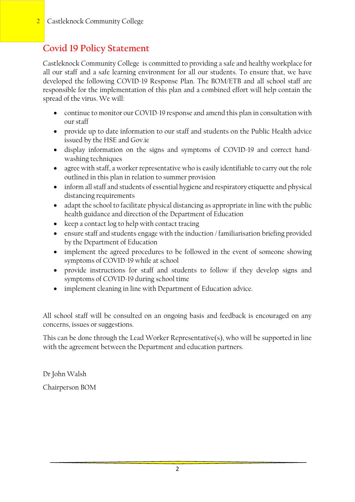# **Covid 19 Policy Statement**

Castleknock Community College is committed to providing a safe and healthy workplace for all our staff and a safe learning environment for all our students. To ensure that, we have developed the following COVID-19 Response Plan. The BOM/ETB and all school staff are responsible for the implementation of this plan and a combined effort will help contain the spread of the virus. We will:

- continue to monitor our COVID-19 response and amend this plan in consultation with our staff
- provide up to date information to our staff and students on the Public Health advice issued by the HSE and Gov.ie
- display information on the signs and symptoms of COVID-19 and correct handwashing techniques
- agree with staff, a worker representative who is easily identifiable to carry out the role outlined in this plan in relation to summer provision
- inform all staff and students of essential hygiene and respiratory etiquette and physical distancing requirements
- adapt the school to facilitate physical distancing as appropriate in line with the public health guidance and direction of the Department of Education
- keep a contact log to help with contact tracing
- ensure staff and students engage with the induction / familiarisation briefing provided by the Department of Education
- implement the agreed procedures to be followed in the event of someone showing symptoms of COVID-19 while at school
- provide instructions for staff and students to follow if they develop signs and symptoms of COVID-19 during school time
- implement cleaning in line with Department of Education advice.

All school staff will be consulted on an ongoing basis and feedback is encouraged on any concerns, issues or suggestions.

This can be done through the Lead Worker Representative(s), who will be supported in line with the agreement between the Department and education partners.

Dr John Walsh Chairperson BOM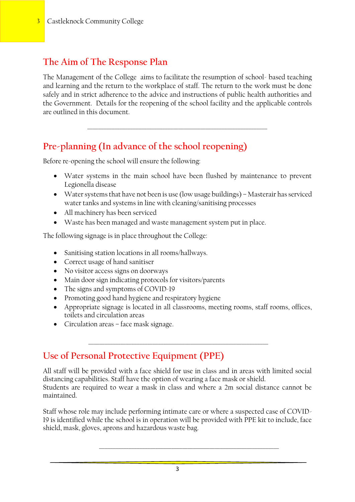### **The Aim of The Response Plan**

The Management of the College aims to facilitate the resumption of school- based teaching and learning and the return to the workplace of staff. The return to the work must be done safely and in strict adherence to the advice and instructions of public health authorities and the Government. Details for the reopening of the school facility and the applicable controls are outlined in this document.

\_\_\_\_\_\_\_\_\_\_\_\_\_\_\_\_\_\_\_\_\_\_\_\_\_\_\_\_\_\_\_\_\_\_\_\_\_\_\_\_\_\_\_\_\_\_\_\_\_\_\_\_\_\_\_\_\_\_\_\_\_\_\_\_\_\_\_

# **Pre-planning (In advance of the school reopening)**

Before re-opening the school will ensure the following:

- Water systems in the main school have been flushed by maintenance to prevent Legionella disease
- Water systems that have not been is use (low usage buildings) Masterair has serviced water tanks and systems in line with cleaning/sanitising processes
- All machinery has been serviced
- Waste has been managed and waste management system put in place.

The following signage is in place throughout the College:

- Sanitising station locations in all rooms/hallways.
- Correct usage of hand sanitiser
- No visitor access signs on doorways
- Main door sign indicating protocols for visitors/parents
- The signs and symptoms of COVID-19
- Promoting good hand hygiene and respiratory hygiene
- Appropriate signage is located in all classrooms, meeting rooms, staff rooms, offices, toilets and circulation areas
- Circulation areas face mask signage.

# **Use of Personal Protective Equipment (PPE)**

All staff will be provided with a face shield for use in class and in areas with limited social distancing capabilities. Staff have the option of wearing a face mask or shield. Students are required to wear a mask in class and where a 2m social distance cannot be maintained.

\_\_\_\_\_\_\_\_\_\_\_\_\_\_\_\_\_\_\_\_\_\_\_\_\_\_\_\_\_\_\_\_\_\_\_\_\_\_\_\_\_\_\_\_\_\_\_\_\_\_\_\_\_\_\_\_\_\_\_\_\_\_\_\_\_\_\_

Staff whose role may include performing intimate care or where a suspected case of COVID-19 is identified while the school is in operation will be provided with PPE kit to include, face shield, mask, gloves, aprons and hazardous waste bag.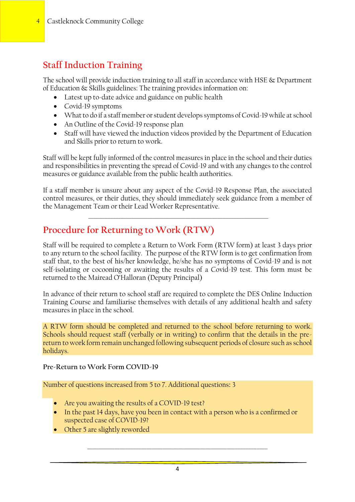# **Staff Induction Training**

The school will provide induction training to all staff in accordance with HSE & Department of Education & Skills guidelines: The training provides information on:

- Latest up to-date advice and guidance on public health
- Covid-19 symptoms
- What to do if a staff member or student develops symptoms of Covid-19 while at school
- An Outline of the Covid-19 response plan
- Staff will have viewed the induction videos provided by the Department of Education and Skills prior to return to work.

Staff will be kept fully informed of the control measures in place in the school and their duties and responsibilities in preventing the spread of Covid-19 and with any changes to the control measures or guidance available from the public health authorities.

If a staff member is unsure about any aspect of the Covid-19 Response Plan, the associated control measures, or their duties, they should immediately seek guidance from a member of the Management Team or their Lead Worker Representative.

\_\_\_\_\_\_\_\_\_\_\_\_\_\_\_\_\_\_\_\_\_\_\_\_\_\_\_\_\_\_\_\_\_\_\_\_\_\_\_\_\_\_\_\_\_\_\_\_\_\_\_\_\_\_\_\_\_\_\_\_\_\_\_\_\_\_\_

# **Procedure for Returning to Work (RTW)**

Staff will be required to complete a Return to Work Form (RTW form) at least 3 days prior to any return to the school facility. The purpose of the RTW form is to get confirmation from staff that, to the best of his/her knowledge, he/she has no symptoms of Covid-19 and is not self-isolating or cocooning or awaiting the results of a Covid-19 test. This form must be returned to the Mairead O'Halloran (Deputy Principal)

In advance of their return to school staff are required to complete the DES Online Induction Training Course and familiarise themselves with details of any additional health and safety measures in place in the school.

A RTW form should be completed and returned to the school before returning to work. Schools should request staff (verbally or in writing) to confirm that the details in the prereturn to work form remain unchanged following subsequent periods of closure such as school holidays.

**Pre-Return to Work Form COVID-19**

Number of questions increased from 5 to 7. Additional questions**:** 3

- Are you awaiting the results of a COVID-19 test?
- In the past 14 days, have you been in contact with a person who is a confirmed or suspected case of COVID-19?
- Other 5 are slightly reworded

4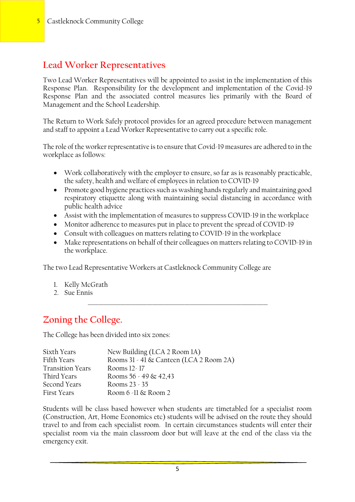### **Lead Worker Representatives**

Two Lead Worker Representatives will be appointed to assist in the implementation of this Response Plan. Responsibility for the development and implementation of the Covid-19 Response Plan and the associated control measures lies primarily with the Board of Management and the School Leadership.

The Return to Work Safely protocol provides for an agreed procedure between management and staff to appoint a Lead Worker Representative to carry out a specific role.

The role of the worker representative is to ensure that Covid-19 measures are adhered to in the workplace as follows:

- Work collaboratively with the employer to ensure, so far as is reasonably practicable, the safety, health and welfare of employees in relation to COVID-19
- Promote good hygiene practices such as washing hands regularly and maintaining good respiratory etiquette along with maintaining social distancing in accordance with public health advice
- Assist with the implementation of measures to suppress COVID-19 in the workplace
- Monitor adherence to measures put in place to prevent the spread of COVID-19
- Consult with colleagues on matters relating to COVID-19 in the workplace
- Make representations on behalf of their colleagues on matters relating to COVID-19 in the workplace.

\_\_\_\_\_\_\_\_\_\_\_\_\_\_\_\_\_\_\_\_\_\_\_\_\_\_\_\_\_\_\_\_\_\_\_\_\_\_\_\_\_\_\_\_\_\_\_\_\_\_\_\_\_\_\_\_\_\_\_\_\_\_\_\_\_\_\_

The two Lead Representative Workers at Castleknock Community College are

- 1. Kelly McGrath
- 2. Sue Ennis

## **Zoning the College.**

The College has been divided into six zones:

| Sixth Years             | New Building (LCA 2 Room 1A)            |
|-------------------------|-----------------------------------------|
| Fifth Years             | Rooms 31 - 41 & Canteen (LCA 2 Room 2A) |
| <b>Transition Years</b> | Rooms 12 - 17                           |
| Third Years             | Rooms $56 - 49 \& 42,43$                |
| Second Years            | Rooms $23 - 35$                         |
| <b>First Years</b>      | Room $6$ -11 $\&$ Room 2                |

Students will be class based however when students are timetabled for a specialist room (Construction, Art, Home Economics etc) students will be advised on the route they should travel to and from each specialist room. In certain circumstances students will enter their specialist room via the main classroom door but will leave at the end of the class via the emergency exit.

5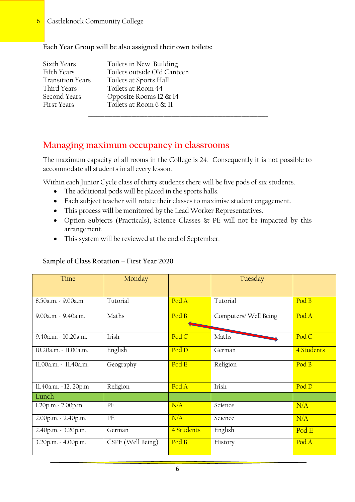#### **Each Year Group will be also assigned their own toilets:**

| Sixth Years             | Toilets in New Building     |  |  |  |
|-------------------------|-----------------------------|--|--|--|
| Fifth Years             | Toilets outside Old Canteen |  |  |  |
| <b>Transition Years</b> | Toilets at Sports Hall      |  |  |  |
| Third Years             | Toilets at Room 44          |  |  |  |
| Second Years            | Opposite Rooms $12 \& 14$   |  |  |  |
| First Years             | Toilets at Room 6 & 11      |  |  |  |
|                         |                             |  |  |  |

### **Managing maximum occupancy in classrooms**

The maximum capacity of all rooms in the College is 24. Consequently it is not possible to accommodate all students in all every lesson.

Within each Junior Cycle class of thirty students there will be five pods of six students.

- The additional pods will be placed in the sports halls.
- Each subject teacher will rotate their classes to maximise student engagement.
- This process will be monitored by the Lead Worker Representatives.
- Option Subjects (Practicals), Science Classes & PE will not be impacted by this arrangement.
- This system will be reviewed at the end of September.

#### **Sample of Class Rotation – First Year 2020**

| Time                  | Monday            |            | Tuesday               |                           |
|-----------------------|-------------------|------------|-----------------------|---------------------------|
|                       |                   |            |                       |                           |
| 8.50a.m. - 9.00a.m.   | Tutorial          | Pod A      | Tutorial              | Pod B                     |
| 9.00a.m. - 9.40a.m.   | Maths             | Pod B      | Computers/ Well Being | Pod A                     |
| 9.40a.m. - 10.20a.m.  | Irish             | Pod C      | Maths                 | Pod C                     |
| 10.20a.m. - 11.00a.m. | English           | Pod D      | German                | 4 Students                |
| 11.00a.m. - 11.40a.m. | Geography         | Pod E      | Religion              | $\overline{\text{Pod }B}$ |
| 11.40a.m. - 12.20p.m  | Religion          | Pod A      | Irish                 | Pod D                     |
| Lunch                 |                   |            |                       |                           |
| 1.20p.m. - 2.00p.m.   | PE                | N/A        | Science               | N/A                       |
| 2.00p.m. - 2.40p.m.   | $\rm PE$          | N/A        | Science               | N/A                       |
| 2.40p.m, - 3.20p.m.   | German            | 4 Students | English               | Pod E                     |
| 3.20p.m. - 4.00p.m.   | CSPE (Well Being) | Pod B      | History               | Pod A                     |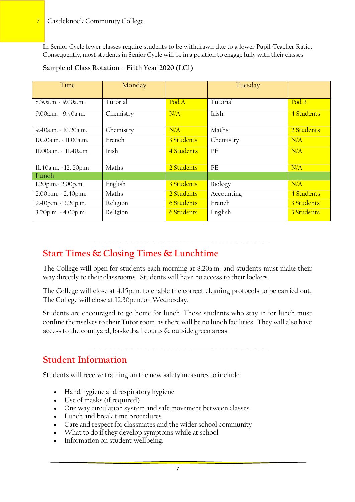In Senior Cycle fewer classes require students to be withdrawn due to a lower Pupil-Teacher Ratio. Consequently, most students in Senior Cycle will be in a position to engage fully with their classes

| Time                    | Monday    |                           | Tuesday    |            |
|-------------------------|-----------|---------------------------|------------|------------|
|                         |           |                           |            |            |
| 8.50a.m. - 9.00a.m.     | Tutorial  | $\overline{\text{Pod A}}$ | Tutorial   | Pod B      |
| 9.00a.m. - 9.40a.m.     | Chemistry | N/A                       | Irish      | 4 Students |
| $9.40a.m. - 10.20a.m.$  | Chemistry | N/A                       | Maths      | 2 Students |
| 10.20a.m. - 11.00a.m.   | French    | 3 Students                | Chemistry  | N/A        |
| $11.00a.m. - 11.40a.m.$ | Irish     | 4 Students                | PE         | N/A        |
| 11.40a.m. - 12.20p.m    | Maths     | 2 Students                | PE         | N/A        |
| Lunch                   |           |                           |            |            |
| 1.20p.m. - 2.00p.m.     | English   | 3 Students                | Biology    | N/A        |
| 2.00p.m. - 2.40p.m.     | Maths     | 2 Students                | Accounting | 4 Students |
| 2.40p.m, - 3.20p.m.     | Religion  | <b>6 Students</b>         | French     | 3 Students |
| 3.20p.m. - 4.00p.m.     | Religion  | <b>6 Students</b>         | English    | 3 Students |

### **Sample of Class Rotation – Fifth Year 2020 (LC1)**

## **Start Times & Closing Times & Lunchtime**

The College will open for students each morning at 8.20a.m. and students must make their way directly to their classrooms. Students will have no access to their lockers.

\_\_\_\_\_\_\_\_\_\_\_\_\_\_\_\_\_\_\_\_\_\_\_\_\_\_\_\_\_\_\_\_\_\_\_\_\_\_\_\_\_\_\_\_\_\_\_\_\_\_\_\_\_\_\_\_\_\_\_\_\_\_\_\_\_\_\_

The College will close at 4.15p.m. to enable the correct cleaning protocols to be carried out. The College will close at 12.30p.m. on Wednesday.

Students are encouraged to go home for lunch. Those students who stay in for lunch must confine themselves to their Tutor room as there will be no lunch facilities. They will also have access to the courtyard, basketball courts & outside green areas.

\_\_\_\_\_\_\_\_\_\_\_\_\_\_\_\_\_\_\_\_\_\_\_\_\_\_\_\_\_\_\_\_\_\_\_\_\_\_\_\_\_\_\_\_\_\_\_\_\_\_\_\_\_\_\_\_\_\_\_\_\_\_\_\_\_\_\_

## **Student Information**

Students will receive training on the new safety measures to include:

- Hand hygiene and respiratory hygiene
- Use of masks (if required)
- One way circulation system and safe movement between classes
- Lunch and break time procedures
- Care and respect for classmates and the wider school community
- What to do if they develop symptoms while at school
- Information on student wellbeing.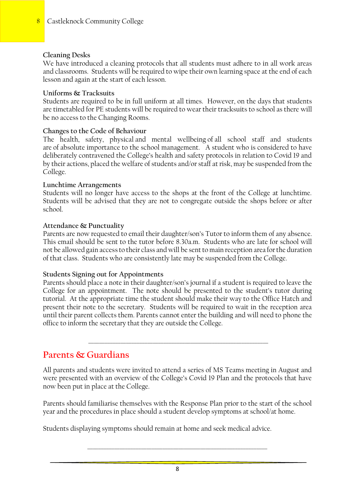#### **Cleaning Desks**

We have introduced a cleaning protocols that all students must adhere to in all work areas and classrooms. Students will be required to wipe their own learning space at the end of each lesson and again at the start of each lesson.

#### **Uniforms & Tracksuits**

Students are required to be in full uniform at all times. However, on the days that students are timetabled for PE students will be required to wear their tracksuits to school as there will be no access to the Changing Rooms.

#### **Changes to the Code of Behaviour**

The health, safety, physical and mental wellbeing of all school staff and students are of absolute importance to the school management. A student who is considered to have deliberately contravened the College's health and safety protocols in relation to Covid 19 and by their actions, placed the welfare of students and/or staff at risk, may be suspended from the College.

#### **Lunchtime Arrangements**

Students will no longer have access to the shops at the front of the College at lunchtime. Students will be advised that they are not to congregate outside the shops before or after school.

#### **Attendance & Punctuality**

Parents are now requested to email their daughter/son's Tutor to inform them of any absence. This email should be sent to the tutor before 8.30a.m. Students who are late for school will not be allowed gain access to their class and will be sent to main reception area for the duration of that class. Students who are consistently late may be suspended from the College.

#### **Students Signing out for Appointments**

Parents should place a note in their daughter/son's journal if a student is required to leave the College for an appointment. The note should be presented to the student's tutor during tutorial. At the appropriate time the student should make their way to the Office Hatch and present their note to the secretary. Students will be required to wait in the reception area until their parent collects them. Parents cannot enter the building and will need to phone the office to inform the secretary that they are outside the College.

### **Parents & Guardians**

All parents and students were invited to attend a series of MS Teams meeting in August and were presented with an overview of the College's Covid 19 Plan and the protocols that have now been put in place at the College.

\_\_\_\_\_\_\_\_\_\_\_\_\_\_\_\_\_\_\_\_\_\_\_\_\_\_\_\_\_\_\_\_\_\_\_\_\_\_\_\_\_\_\_\_\_\_\_\_\_\_\_\_\_\_\_\_\_\_\_\_\_\_\_\_\_\_\_

Parents should familiarise themselves with the Response Plan prior to the start of the school year and the procedures in place should a student develop symptoms at school/at home.

Students displaying symptoms should remain at home and seek medical advice.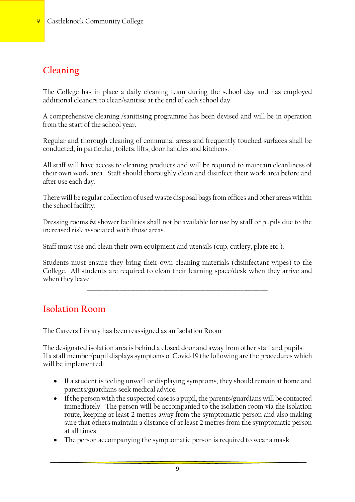# **Cleaning**

The College has in place a daily cleaning team during the school day and has employed additional cleaners to clean/sanitise at the end of each school day.

A comprehensive cleaning /sanitising programme has been devised and will be in operation from the start of the school year.

Regular and thorough cleaning of communal areas and frequently touched surfaces shall be conducted, in particular, toilets, lifts, door handles and kitchens.

All staff will have access to cleaning products and will be required to maintain cleanliness of their own work area. Staff should thoroughly clean and disinfect their work area before and after use each day.

There will be regular collection of used waste disposal bags from offices and other areas within the school facility.

Dressing rooms & shower facilities shall not be available for use by staff or pupils due to the increased risk associated with those areas.

Staff must use and clean their own equipment and utensils (cup, cutlery, plate etc.).

Students must ensure they bring their own cleaning materials (disinfectant wipes) to the College. All students are required to clean their learning space/desk when they arrive and when they leave.

\_\_\_\_\_\_\_\_\_\_\_\_\_\_\_\_\_\_\_\_\_\_\_\_\_\_\_\_\_\_\_\_\_\_\_\_\_\_\_\_\_\_\_\_\_\_\_\_\_\_\_\_\_\_\_\_\_\_\_\_\_\_\_\_\_\_\_

### **Isolation Room**

The Careers Library has been reassigned as an Isolation Room

The designated isolation area is behind a closed door and away from other staff and pupils. If a staff member/pupil displays symptoms of Covid-19 the following are the procedures which will be implemented:

- If a student is feeling unwell or displaying symptoms, they should remain at home and parents/guardians seek medical advice.
- If the person with the suspected case is a pupil, the parents/guardians will be contacted immediately. The person will be accompanied to the isolation room via the isolation route, keeping at least 2 metres away from the symptomatic person and also making sure that others maintain a distance of at least 2 metres from the symptomatic person at all times
- The person accompanying the symptomatic person is required to wear a mask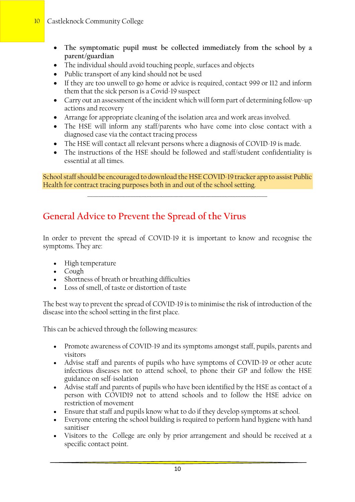### 10 Castleknock Community College

- **The symptomatic pupil must be collected immediately from the school by a parent/guardian**
- The individual should avoid touching people, surfaces and objects
- Public transport of any kind should not be used
- If they are too unwell to go home or advice is required, contact 999 or 112 and inform them that the sick person is a Covid-19 suspect
- Carry out an assessment of the incident which will form part of determining follow-up actions and recovery
- Arrange for appropriate cleaning of the isolation area and work areas involved.
- The HSE will inform any staff/parents who have come into close contact with a diagnosed case via the contact tracing process
- The HSE will contact all relevant persons where a diagnosis of COVID-19 is made.
- The instructions of the HSE should be followed and staff/student confidentiality is essential at all times.

School staff should be encouraged to download the HSE COVID-19 tracker app to assist Public Health for contract tracing purposes both in and out of the school setting.

\_\_\_\_\_\_\_\_\_\_\_\_\_\_\_\_\_\_\_\_\_\_\_\_\_\_\_\_\_\_\_\_\_\_\_\_\_\_\_\_\_\_\_\_\_\_\_\_\_\_\_\_\_\_\_\_\_\_\_\_\_\_\_\_\_\_\_

# **General Advice to Prevent the Spread of the Virus**

In order to prevent the spread of COVID-19 it is important to know and recognise the symptoms. They are:

- High temperature
- Cough
- Shortness of breath or breathing difficulties
- Loss of smell, of taste or distortion of taste

The best way to prevent the spread of COVID-19 is to minimise the risk of introduction of the disease into the school setting in the first place.

This can be achieved through the following measures:

- Promote awareness of COVID-19 and its symptoms amongst staff, pupils, parents and visitors
- Advise staff and parents of pupils who have symptoms of COVID-19 or other acute infectious diseases not to attend school, to phone their GP and follow the HSE guidance on self-isolation
- Advise staff and parents of pupils who have been identified by the HSE as contact of a person with COVID19 not to attend schools and to follow the HSE advice on restriction of movement
- Ensure that staff and pupils know what to do if they develop symptoms at school.
- Everyone entering the school building is required to perform hand hygiene with hand sanitiser
- Visitors to the College are only by prior arrangement and should be received at a specific contact point.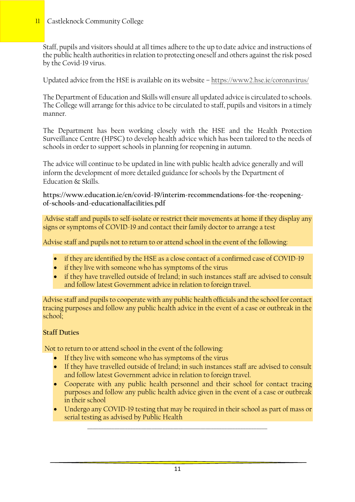### 11 Castleknock Community College

Staff, pupils and visitors should at all times adhere to the up to date advice and instructions of the public health authorities in relation to protecting oneself and others against the risk posed by the Covid-19 virus.

Updated advice from the HSE is available on its website – <https://www2.hse.ie/coronavirus/>

The Department of Education and Skills will ensure all updated advice is circulated to schools. The College will arrange for this advice to be circulated to staff, pupils and visitors in a timely manner.

The Department has been working closely with the HSE and the Health Protection Surveillance Centre (HPSC) to develop health advice which has been tailored to the needs of schools in order to support schools in planning for reopening in autumn.

The advice will continue to be updated in line with public health advice generally and will inform the development of more detailed guidance for schools by the Department of Education & Skills.

**[https://www.education.ie/en/covid-19/interim-recommendations-for-the-reopening](https://www.education.ie/en/covid-19/interim-recommendations-for-the-reopening-of-schools-and-educationalfacilities.pdf)[of-schools-and-educationalfacilities.pdf](https://www.education.ie/en/covid-19/interim-recommendations-for-the-reopening-of-schools-and-educationalfacilities.pdf)**

Advise staff and pupils to self-isolate or restrict their movements at home if they display any signs or symptoms of COVID-19 and contact their family doctor to arrange a test

Advise staff and pupils not to return to or attend school in the event of the following:

- if they are identified by the HSE as a close contact of a confirmed case of COVID-19
- if they live with someone who has symptoms of the virus
- if they have travelled outside of Ireland; in such instances staff are advised to consult and follow latest Government advice in relation to foreign travel.

Advise staff and pupils to cooperate with any public health officials and the school for contact tracing purposes and follow any public health advice in the event of a case or outbreak in the school;

### **Staff Duties**

Not to return to or attend school in the event of the following:

- If they live with someone who has symptoms of the virus
- If they have travelled outside of Ireland; in such instances staff are advised to consult and follow latest Government advice in relation to foreign travel.
- Cooperate with any public health personnel and their school for contact tracing purposes and follow any public health advice given in the event of a case or outbreak in their school
- Undergo any COVID-19 testing that may be required in their school as part of mass or serial testing as advised by Public Health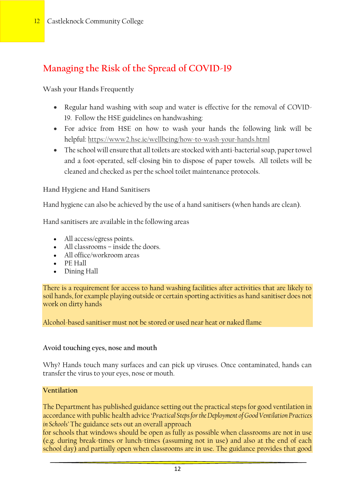# **Managing the Risk of the Spread of COVID-19**

**Wash your Hands Frequently**

- Regular hand washing with soap and water is effective for the removal of COVID-19. Follow the HSE guidelines on handwashing:
- For advice from HSE on how to wash your hands the following link will be helpful: <https://www2.hse.ie/wellbeing/how-to-wash-your-hands.html>
- The school will ensure that all toilets are stocked with anti-bacterial soap, paper towel and a foot-operated, self-closing bin to dispose of paper towels. All toilets will be cleaned and checked as per the school toilet maintenance protocols.

**Hand Hygiene and Hand Sanitisers**

Hand hygiene can also be achieved by the use of a hand sanitisers (when hands are clean).

Hand sanitisers are available in the following areas

- All access/egress points.
- All classrooms inside the doors.
- All office/workroom areas
- PE Hall
- Dining Hall

There is a requirement for access to hand washing facilities after activities that are likely to soil hands, for example playing outside or certain sporting activities as hand sanitiser does not work on dirty hands

Alcohol-based sanitiser must not be stored or used near heat or naked flame

### **Avoid touching eyes, nose and mouth**

Why? Hands touch many surfaces and can pick up viruses. Once contaminated, hands can transfer the virus to your eyes, nose or mouth.

#### **Ventilation**

The Department has published guidance setting out the practical steps for good ventilation in accordance with public health advice '*Practical Steps for the Deployment of Good Ventilation Practices in Schools'* The guidance sets out an overall approach

for schools that windows should be open as fully as possible when classrooms are not in use (e.g. during break-times or lunch-times (assuming not in use) and also at the end of each school day) and partially open when classrooms are in use. The guidance provides that good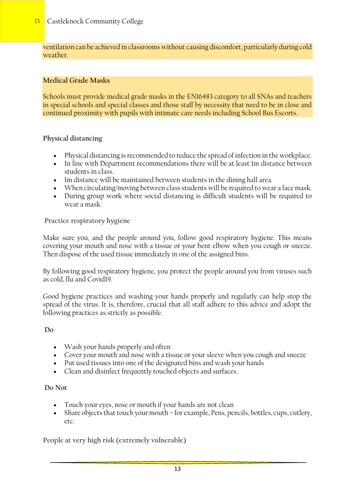ventilation can be achieved in classrooms without causing discomfort, particularly during cold weather.

### **Medical Grade Masks**

Schools must provide medical grade masks in the EN16483 category to all SNAs and teachers in special schools and special classes and those staff by necessity that need to be in close and continued proximity with pupils with intimate care needs including School Bus Escorts.

### **Physical distancing**

- Physical distancing is recommended to reduce the spread of infection in the workplace.
- In line with Department recommendations there will be at least 1m distance between students in class.
- Im distance will be maintained between students in the dining hall area.
- When circulating/moving between class students will be required to wear a face mask.
- During group work where social distancing is difficult students will be required to wear a mask.

#### **Practice respiratory hygiene**

Make sure you, and the people around you, follow good respiratory hygiene. This means covering your mouth and nose with a tissue or your bent elbow when you cough or sneeze. Then dispose of the used tissue immediately in one of the assigned bins.

By following good respiratory hygiene, you protect the people around you from viruses such as cold, flu and Covid19.

Good hygiene practices and washing your hands properly and regularly can help stop the spread of the virus. It is, therefore, crucial that all staff adhere to this advice and adopt the following practices as strictly as possible.

#### **Do**

- Wash your hands properly and often
- Cover your mouth and nose with a tissue or your sleeve when you cough and sneeze
- Put used tissues into one of the designated bins and wash your hands
- Clean and disinfect frequently touched objects and surfaces.

#### **Do Not**

- Touch your eyes, nose or mouth if your hands are not clean
- Share objects that touch your mouth for example, Pens, pencils, bottles, cups, cutlery, etc.

**People at very high risk (extremely vulnerable)**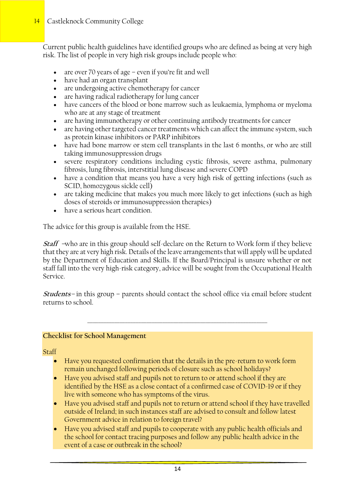Current public health guidelines have identified groups who are defined as being at very high risk. The list of people in very high risk groups include people who:

- are over 70 years of age even if you're fit and well
- have had an organ transplant
- are undergoing active chemotherapy for cancer
- are having radical radiotherapy for lung cancer
- have cancers of the blood or bone marrow such as leukaemia, lymphoma or myeloma who are at any stage of treatment
- are having immunotherapy or other continuing antibody treatments for cancer
- are having other targeted cancer treatments which can affect the immune system, such as protein kinase inhibitors or PARP inhibitors
- have had bone marrow or stem cell transplants in the last 6 months, or who are still taking immunosuppression drugs
- severe respiratory conditions including cystic fibrosis, severe asthma, pulmonary fibrosis, lung fibrosis, interstitial lung disease and severe COPD
- have a condition that means you have a very high risk of getting infections (such as SCID, homozygous sickle cell)
- are taking medicine that makes you much more likely to get infections (such as high doses of steroids or immunosuppression therapies)
- have a serious heart condition.

The advice for this group is available from the HSE.

**Staff –**who are in this group should self-declare on the Return to Work form if they believe that they are at very high risk. Details of the leave arrangements that will apply will be updated by the Department of Education and Skills. If the Board/Principal is unsure whether or not staff fall into the very high-risk category, advice will be sought from the Occupational Health Service.

**Students** *–* in this group – parents should contact the school office via email before student returns to school.

\_\_\_\_\_\_\_\_\_\_\_\_\_\_\_\_\_\_\_\_\_\_\_\_\_\_\_\_\_\_\_\_\_\_\_\_\_\_\_\_\_\_\_\_\_\_\_\_\_\_\_\_\_\_\_\_\_\_\_\_\_\_\_\_\_\_\_

#### **Checklist for School Management**

**Staff** 

- Have you requested confirmation that the details in the pre-return to work form remain unchanged following periods of closure such as school holidays?
- Have you advised staff and pupils not to return to or attend school if they are identified by the HSE as a close contact of a confirmed case of COVID-19 or if they live with someone who has symptoms of the virus.
- Have you advised staff and pupils not to return or attend school if they have travelled outside of Ireland; in such instances staff are advised to consult and follow latest Government advice in relation to foreign travel?
- Have you advised staff and pupils to cooperate with any public health officials and the school for contact tracing purposes and follow any public health advice in the event of a case or outbreak in the school?